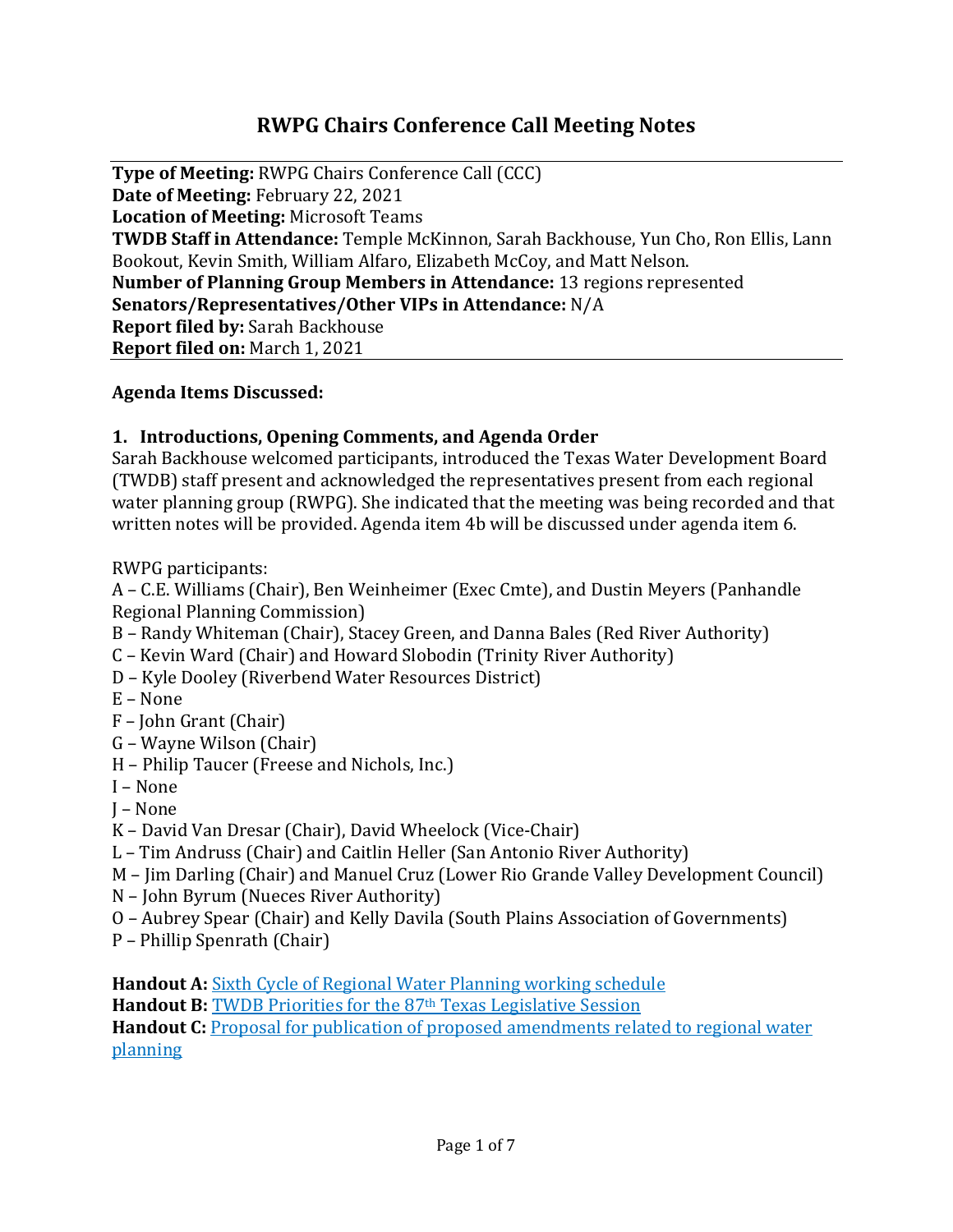# **RWPG Chairs Conference Call Meeting Notes**

**Type of Meeting:** RWPG Chairs Conference Call (CCC) **Date of Meeting:** February 22, 2021 **Location of Meeting:** Microsoft Teams **TWDB Staff in Attendance:** Temple McKinnon, Sarah Backhouse, Yun Cho, Ron Ellis, Lann Bookout, Kevin Smith, William Alfaro, Elizabeth McCoy, and Matt Nelson. **Number of Planning Group Members in Attendance:** 13 regions represented **Senators/Representatives/Other VIPs in Attendance:** N/A **Report filed by:** Sarah Backhouse **Report filed on:** March 1, 2021

#### **Agenda Items Discussed:**

#### **1. Introductions, Opening Comments, and Agenda Order**

Sarah Backhouse welcomed participants, introduced the Texas Water Development Board (TWDB) staff present and acknowledged the representatives present from each regional water planning group (RWPG). She indicated that the meeting was being recorded and that written notes will be provided. Agenda item 4b will be discussed under agenda item 6.

RWPG participants:

A – C.E. Williams (Chair), Ben Weinheimer (Exec Cmte), and Dustin Meyers (Panhandle Regional Planning Commission)

- B Randy Whiteman (Chair), Stacey Green, and Danna Bales (Red River Authority)
- C Kevin Ward (Chair) and Howard Slobodin (Trinity River Authority)
- D Kyle Dooley (Riverbend Water Resources District)
- E None
- F John Grant (Chair)
- G Wayne Wilson (Chair)
- H Philip Taucer (Freese and Nichols, Inc.)
- I None
- J None
- K David Van Dresar (Chair), David Wheelock (Vice-Chair)
- L Tim Andruss (Chair) and Caitlin Heller (San Antonio River Authority)
- M Jim Darling (Chair) and Manuel Cruz (Lower Rio Grande Valley Development Council)
- N John Byrum (Nueces River Authority)
- O Aubrey Spear (Chair) and Kelly Davila (South Plains Association of Governments)
- P Phillip Spenrath (Chair)

**Handout A:** [Sixth Cycle of Regional Water Planning working schedule](https://www.twdb.texas.gov/waterplanning/rwp/planningdocu/2026/projectdocs/Working_Schedule_2026RWPs_Feb2021.pdf)

**Handout B: TWDB Priorities for the 87<sup>th</sup> Texas Legislative Session** 

**Handout C:** Proposal for publication of proposed amendments related to regional water [planning](http://www.twdb.texas.gov/board/2021/02/Board/Brd03.pdf)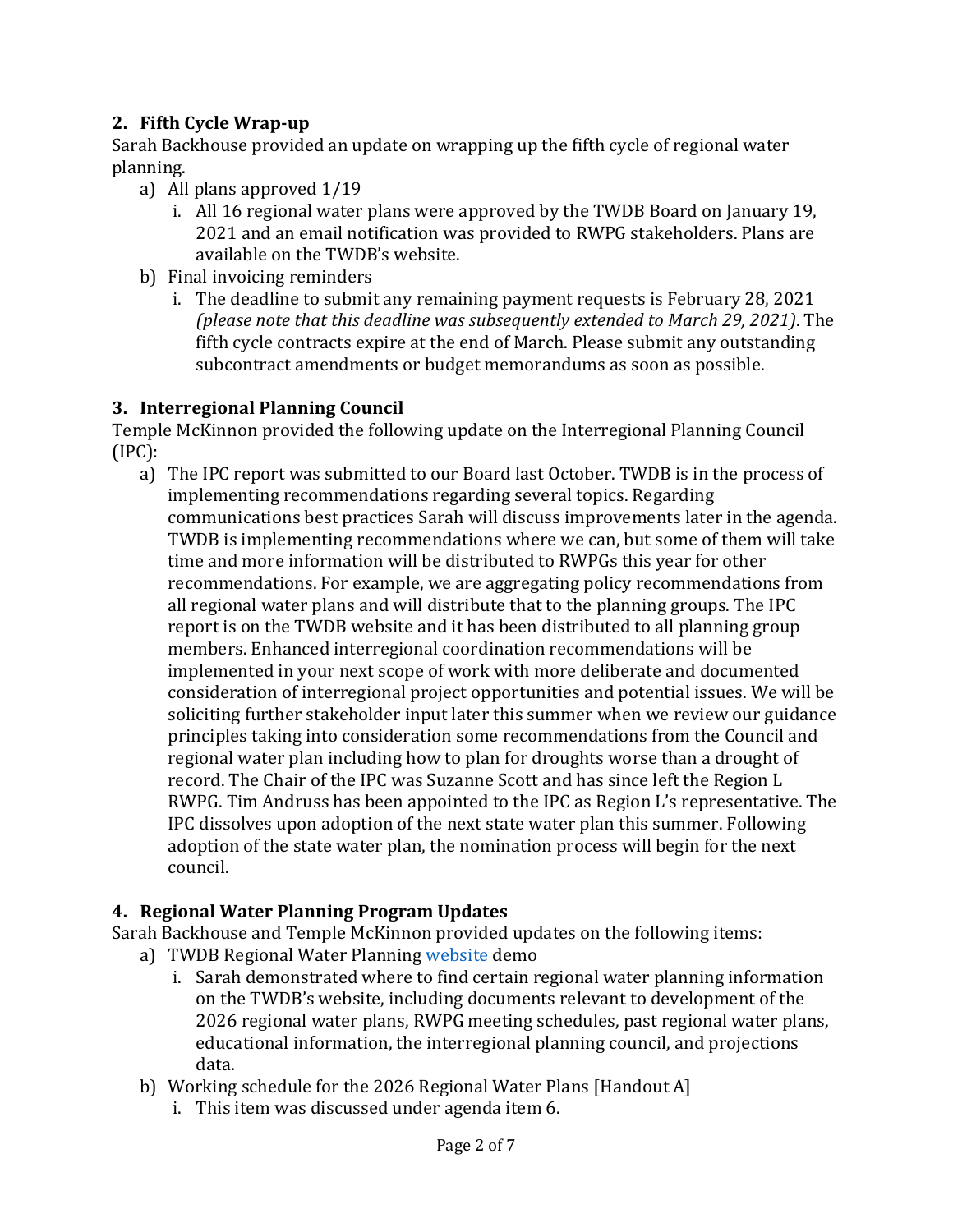# **2. Fifth Cycle Wrap-up**

Sarah Backhouse provided an update on wrapping up the fifth cycle of regional water planning.

- a) All plans approved 1/19
	- i. All 16 regional water plans were approved by the TWDB Board on January 19, 2021 and an email notification was provided to RWPG stakeholders. Plans are available on the TWDB's website.
- b) Final invoicing reminders
	- i. The deadline to submit any remaining payment requests is February 28, 2021 *(please note that this deadline was subsequently extended to March 29, 2021)*. The fifth cycle contracts expire at the end of March. Please submit any outstanding subcontract amendments or budget memorandums as soon as possible.

### **3. Interregional Planning Council**

Temple McKinnon provided the following update on the Interregional Planning Council  $(IPC)$ :

a) The IPC report was submitted to our Board last October. TWDB is in the process of implementing recommendations regarding several topics. Regarding communications best practices Sarah will discuss improvements later in the agenda. TWDB is implementing recommendations where we can, but some of them will take time and more information will be distributed to RWPGs this year for other recommendations. For example, we are aggregating policy recommendations from all regional water plans and will distribute that to the planning groups. The IPC report is on the TWDB website and it has been distributed to all planning group members. Enhanced interregional coordination recommendations will be implemented in your next scope of work with more deliberate and documented consideration of interregional project opportunities and potential issues. We will be soliciting further stakeholder input later this summer when we review our guidance principles taking into consideration some recommendations from the Council and regional water plan including how to plan for droughts worse than a drought of record. The Chair of the IPC was Suzanne Scott and has since left the Region L RWPG. Tim Andruss has been appointed to the IPC as Region L's representative. The IPC dissolves upon adoption of the next state water plan this summer. Following adoption of the state water plan, the nomination process will begin for the next council.

### **4. Regional Water Planning Program Updates**

Sarah Backhouse and Temple McKinnon provided updates on the following items:

- a) TWDB Regional Water Planning [website](http://www.twdb.texas.gov/waterplanning/rwp/planningdocu/2026/index.asp) demo
	- i. Sarah demonstrated where to find certain regional water planning information on the TWDB's website, including documents relevant to development of the 2026 regional water plans, RWPG meeting schedules, past regional water plans, educational information, the interregional planning council, and projections data.
- b) Working schedule for the 2026 Regional Water Plans [Handout A]
	- i. This item was discussed under agenda item 6.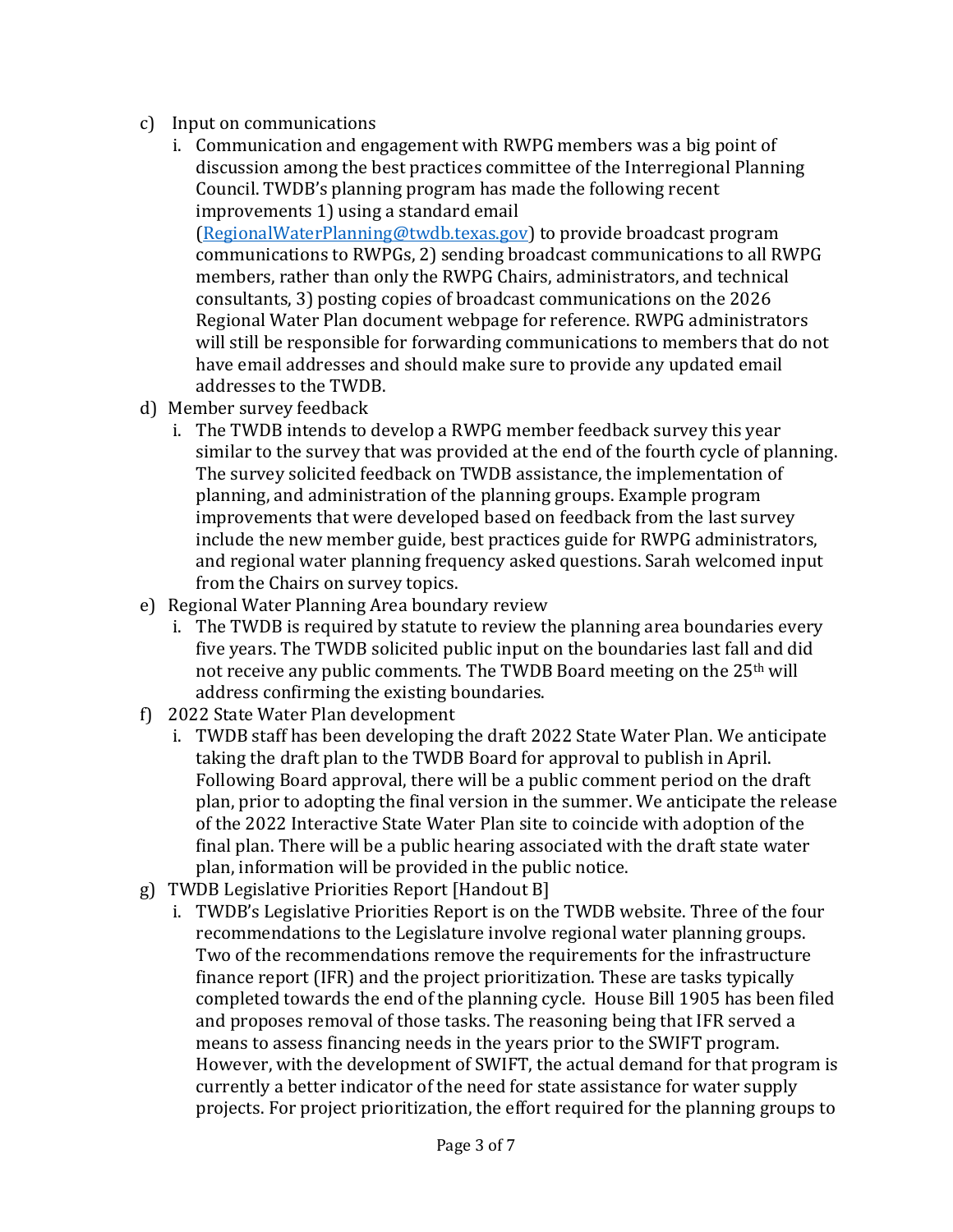- c) Input on communications
	- i. Communication and engagement with RWPG members was a big point of discussion among the best practices committee of the Interregional Planning Council. TWDB's planning program has made the following recent improvements 1) using a standard email [\(RegionalWaterPlanning@twdb.texas.gov\)](mailto:RegionalWaterPlanning@twdb.texas.gov) to provide broadcast program communications to RWPGs, 2) sending broadcast communications to all RWPG

members, rather than only the RWPG Chairs, administrators, and technical consultants, 3) posting copies of broadcast communications on the 2026 Regional Water Plan document webpage for reference. RWPG administrators will still be responsible for forwarding communications to members that do not have email addresses and should make sure to provide any updated email addresses to the TWDB.

- d) Member survey feedback
	- i. The TWDB intends to develop a RWPG member feedback survey this year similar to the survey that was provided at the end of the fourth cycle of planning. The survey solicited feedback on TWDB assistance, the implementation of planning, and administration of the planning groups. Example program improvements that were developed based on feedback from the last survey include the new member guide, best practices guide for RWPG administrators, and regional water planning frequency asked questions. Sarah welcomed input from the Chairs on survey topics.
- e) Regional Water Planning Area boundary review
	- i. The TWDB is required by statute to review the planning area boundaries every five years. The TWDB solicited public input on the boundaries last fall and did not receive any public comments. The TWDB Board meeting on the 25<sup>th</sup> will address confirming the existing boundaries.
- f) 2022 State Water Plan development
	- i. TWDB staff has been developing the draft 2022 State Water Plan. We anticipate taking the draft plan to the TWDB Board for approval to publish in April. Following Board approval, there will be a public comment period on the draft plan, prior to adopting the final version in the summer. We anticipate the release of the 2022 Interactive State Water Plan site to coincide with adoption of the final plan. There will be a public hearing associated with the draft state water plan, information will be provided in the public notice.
- g) TWDB Legislative Priorities Report [Handout B]
	- i. TWDB's Legislative Priorities Report is on the TWDB website. Three of the four recommendations to the Legislature involve regional water planning groups. Two of the recommendations remove the requirements for the infrastructure finance report (IFR) and the project prioritization. These are tasks typically completed towards the end of the planning cycle. House Bill 1905 has been filed and proposes removal of those tasks. The reasoning being that IFR served a means to assess financing needs in the years prior to the SWIFT program. However, with the development of SWIFT, the actual demand for that program is currently a better indicator of the need for state assistance for water supply projects. For project prioritization, the effort required for the planning groups to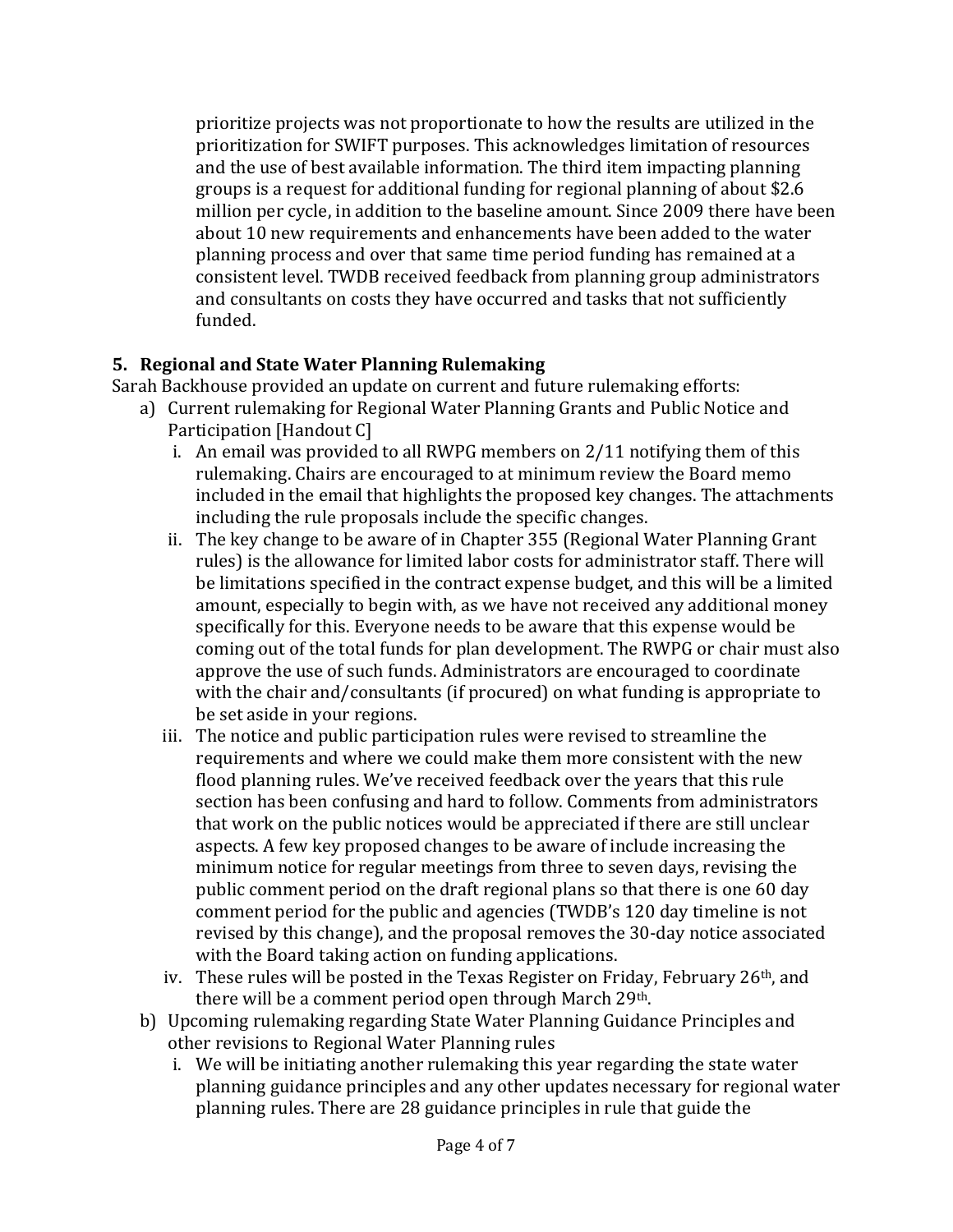prioritize projects was not proportionate to how the results are utilized in the prioritization for SWIFT purposes. This acknowledges limitation of resources and the use of best available information. The third item impacting planning groups is a request for additional funding for regional planning of about \$2.6 million per cycle, in addition to the baseline amount. Since 2009 there have been about 10 new requirements and enhancements have been added to the water planning process and over that same time period funding has remained at a consistent level. TWDB received feedback from planning group administrators and consultants on costs they have occurred and tasks that not sufficiently funded.

## **5. Regional and State Water Planning Rulemaking**

Sarah Backhouse provided an update on current and future rulemaking efforts:

- a) Current rulemaking for Regional Water Planning Grants and Public Notice and Participation [Handout C]
	- i. An email was provided to all RWPG members on 2/11 notifying them of this rulemaking. Chairs are encouraged to at minimum review the Board memo included in the email that highlights the proposed key changes. The attachments including the rule proposals include the specific changes.
	- ii. The key change to be aware of in Chapter 355 (Regional Water Planning Grant rules) is the allowance for limited labor costs for administrator staff. There will be limitations specified in the contract expense budget, and this will be a limited amount, especially to begin with, as we have not received any additional money specifically for this. Everyone needs to be aware that this expense would be coming out of the total funds for plan development. The RWPG or chair must also approve the use of such funds. Administrators are encouraged to coordinate with the chair and/consultants (if procured) on what funding is appropriate to be set aside in your regions.
	- iii. The notice and public participation rules were revised to streamline the requirements and where we could make them more consistent with the new flood planning rules. We've received feedback over the years that this rule section has been confusing and hard to follow. Comments from administrators that work on the public notices would be appreciated if there are still unclear aspects. A few key proposed changes to be aware of include increasing the minimum notice for regular meetings from three to seven days, revising the public comment period on the draft regional plans so that there is one 60 day comment period for the public and agencies (TWDB's 120 day timeline is not revised by this change), and the proposal removes the 30-day notice associated with the Board taking action on funding applications.
	- iv. These rules will be posted in the Texas Register on Friday, February 26th, and there will be a comment period open through March 29<sup>th</sup>.
- b) Upcoming rulemaking regarding State Water Planning Guidance Principles and other revisions to Regional Water Planning rules
	- i. We will be initiating another rulemaking this year regarding the state water planning guidance principles and any other updates necessary for regional water planning rules. There are 28 guidance principles in rule that guide the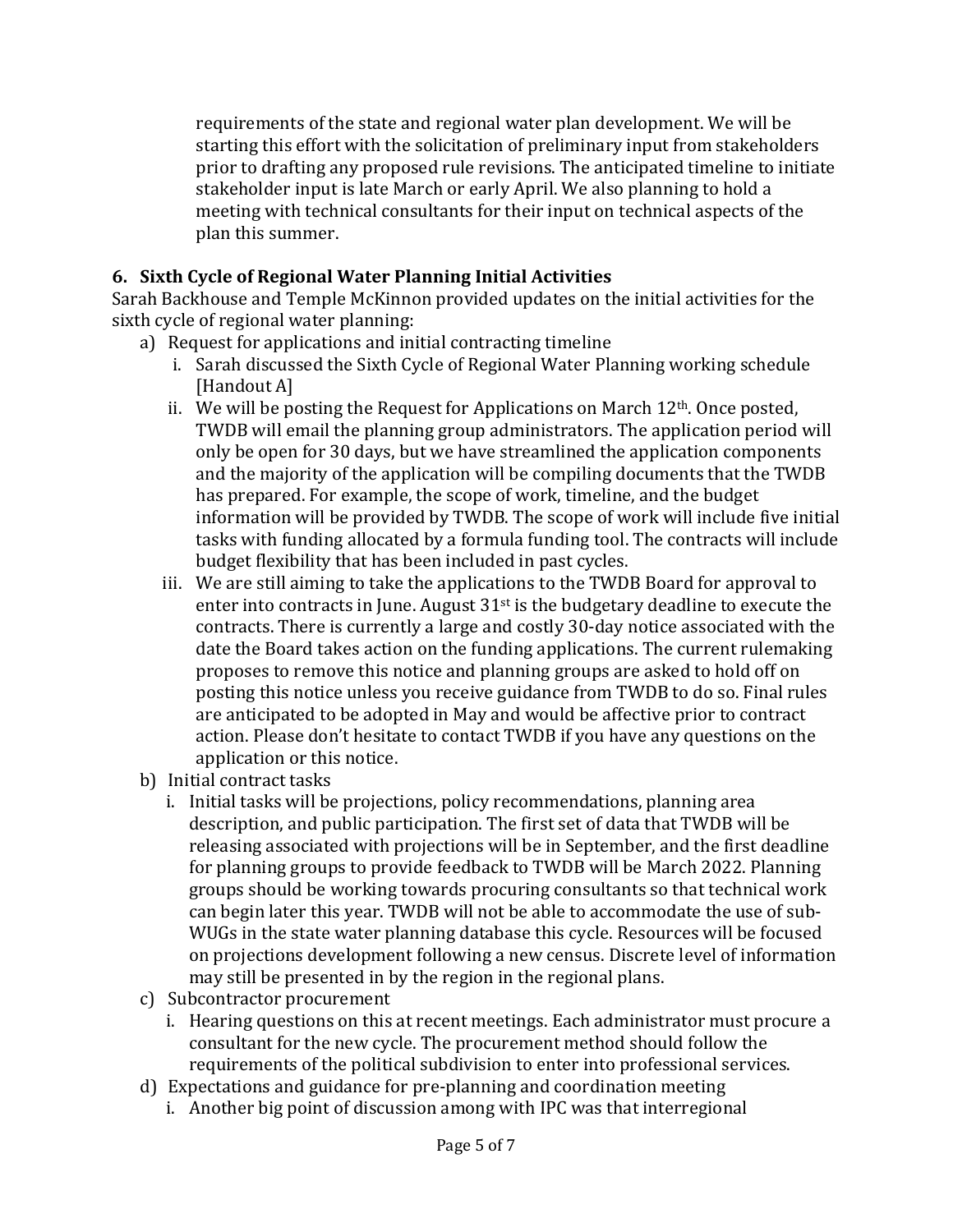requirements of the state and regional water plan development. We will be starting this effort with the solicitation of preliminary input from stakeholders prior to drafting any proposed rule revisions. The anticipated timeline to initiate stakeholder input is late March or early April. We also planning to hold a meeting with technical consultants for their input on technical aspects of the plan this summer.

# **6. Sixth Cycle of Regional Water Planning Initial Activities**

Sarah Backhouse and Temple McKinnon provided updates on the initial activities for the sixth cycle of regional water planning:

- a) Request for applications and initial contracting timeline
	- i. Sarah discussed the Sixth Cycle of Regional Water Planning working schedule [Handout A]
	- ii. We will be posting the Request for Applications on March  $12<sup>th</sup>$ . Once posted, TWDB will email the planning group administrators. The application period will only be open for 30 days, but we have streamlined the application components and the majority of the application will be compiling documents that the TWDB has prepared. For example, the scope of work, timeline, and the budget information will be provided by TWDB. The scope of work will include five initial tasks with funding allocated by a formula funding tool. The contracts will include budget flexibility that has been included in past cycles.
	- iii. We are still aiming to take the applications to the TWDB Board for approval to enter into contracts in June. August  $31<sup>st</sup>$  is the budgetary deadline to execute the contracts. There is currently a large and costly 30-day notice associated with the date the Board takes action on the funding applications. The current rulemaking proposes to remove this notice and planning groups are asked to hold off on posting this notice unless you receive guidance from TWDB to do so. Final rules are anticipated to be adopted in May and would be affective prior to contract action. Please don't hesitate to contact TWDB if you have any questions on the application or this notice.
- b) Initial contract tasks
	- i. Initial tasks will be projections, policy recommendations, planning area description, and public participation. The first set of data that TWDB will be releasing associated with projections will be in September, and the first deadline for planning groups to provide feedback to TWDB will be March 2022. Planning groups should be working towards procuring consultants so that technical work can begin later this year. TWDB will not be able to accommodate the use of sub-WUGs in the state water planning database this cycle. Resources will be focused on projections development following a new census. Discrete level of information may still be presented in by the region in the regional plans.
- c) Subcontractor procurement
	- i. Hearing questions on this at recent meetings. Each administrator must procure a consultant for the new cycle. The procurement method should follow the requirements of the political subdivision to enter into professional services.
- d) Expectations and guidance for pre-planning and coordination meeting
	- i. Another big point of discussion among with IPC was that interregional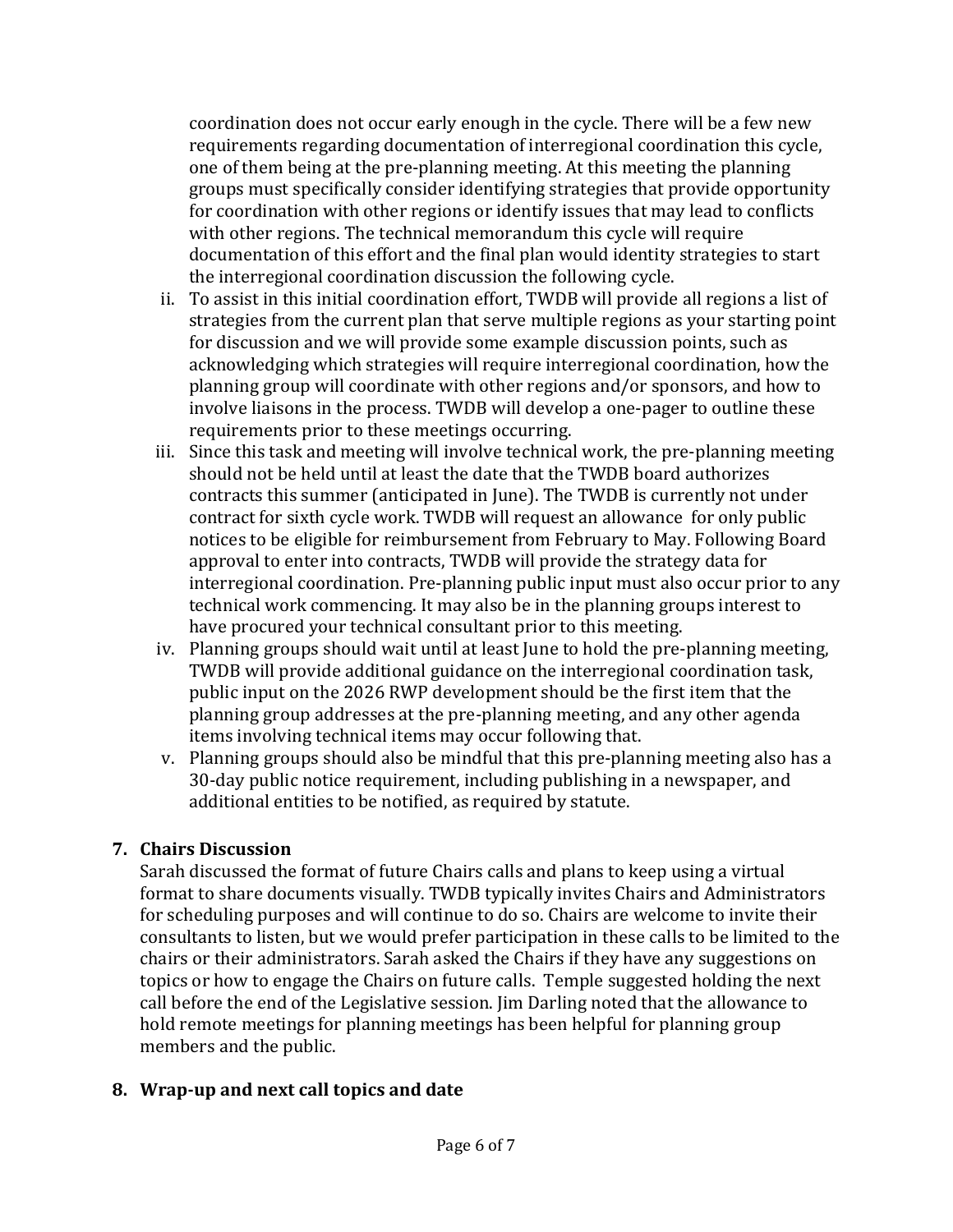coordination does not occur early enough in the cycle. There will be a few new requirements regarding documentation of interregional coordination this cycle, one of them being at the pre-planning meeting. At this meeting the planning groups must specifically consider identifying strategies that provide opportunity for coordination with other regions or identify issues that may lead to conflicts with other regions. The technical memorandum this cycle will require documentation of this effort and the final plan would identity strategies to start the interregional coordination discussion the following cycle.

- ii. To assist in this initial coordination effort, TWDB will provide all regions a list of strategies from the current plan that serve multiple regions as your starting point for discussion and we will provide some example discussion points, such as acknowledging which strategies will require interregional coordination, how the planning group will coordinate with other regions and/or sponsors, and how to involve liaisons in the process. TWDB will develop a one-pager to outline these requirements prior to these meetings occurring.
- iii. Since this task and meeting will involve technical work, the pre-planning meeting should not be held until at least the date that the TWDB board authorizes contracts this summer (anticipated in June). The TWDB is currently not under contract for sixth cycle work. TWDB will request an allowance for only public notices to be eligible for reimbursement from February to May. Following Board approval to enter into contracts, TWDB will provide the strategy data for interregional coordination. Pre-planning public input must also occur prior to any technical work commencing. It may also be in the planning groups interest to have procured your technical consultant prior to this meeting.
- iv. Planning groups should wait until at least June to hold the pre-planning meeting, TWDB will provide additional guidance on the interregional coordination task, public input on the 2026 RWP development should be the first item that the planning group addresses at the pre-planning meeting, and any other agenda items involving technical items may occur following that.
- v. Planning groups should also be mindful that this pre-planning meeting also has a 30-day public notice requirement, including publishing in a newspaper, and additional entities to be notified, as required by statute.

### **7. Chairs Discussion**

Sarah discussed the format of future Chairs calls and plans to keep using a virtual format to share documents visually. TWDB typically invites Chairs and Administrators for scheduling purposes and will continue to do so. Chairs are welcome to invite their consultants to listen, but we would prefer participation in these calls to be limited to the chairs or their administrators. Sarah asked the Chairs if they have any suggestions on topics or how to engage the Chairs on future calls. Temple suggested holding the next call before the end of the Legislative session. Jim Darling noted that the allowance to hold remote meetings for planning meetings has been helpful for planning group members and the public.

# **8. Wrap-up and next call topics and date**